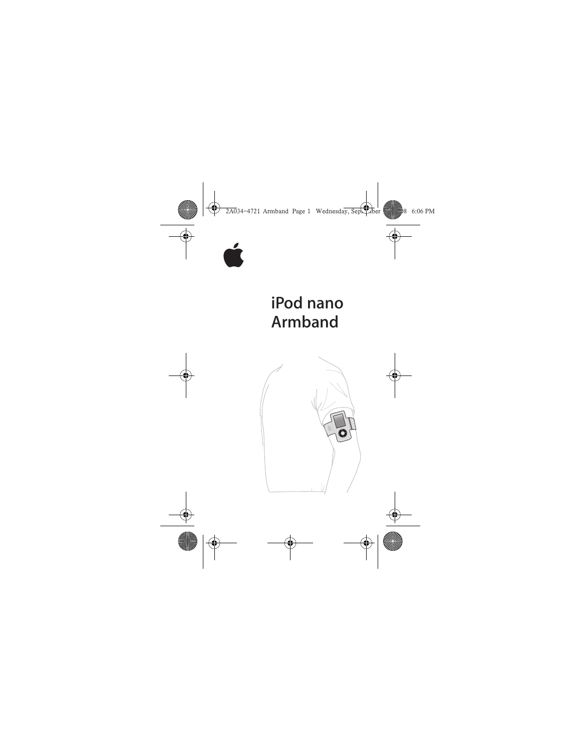

## iPod nano **Armband**

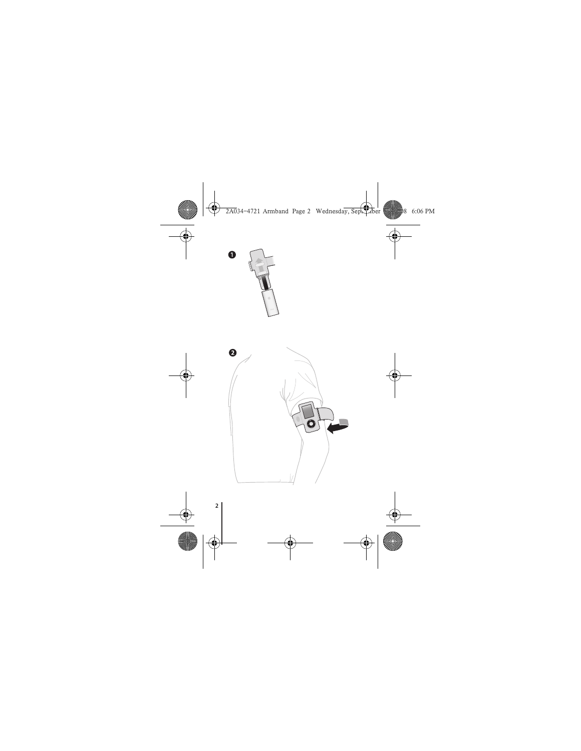

0

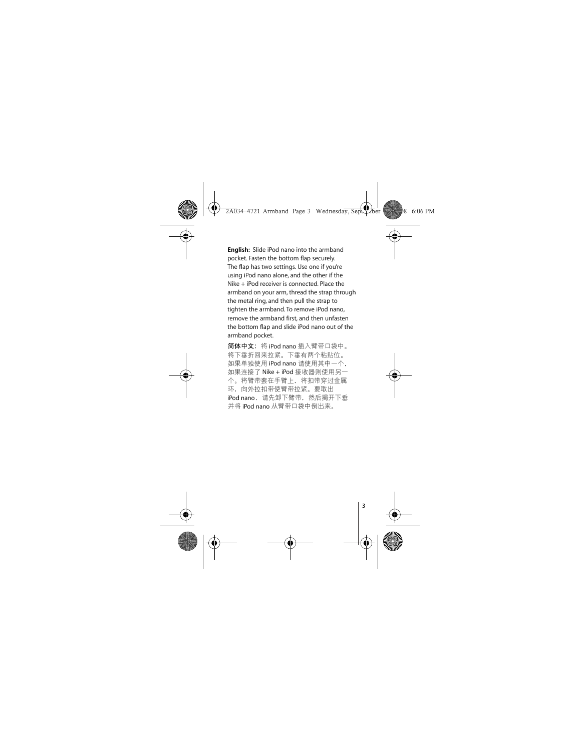**English:** Slide iPod nano into the armband pocket. Fasten the bottom flap securely. The flap has two settings. Use one if you're using iPod nano alone, and the other if the Nike + iPod receiver is connected. Place the armband on your arm, thread the strap through the metal ring, and then pull the strap to tighten the armband. To remove iPod nano, remove the armband first, and then unfasten the bottom flap and slide iPod nano out of the armband pocket.

简**体中文:** 将 iPod nano 插入臂带口袋中。 将下垂折回来拉紧。下垂有两个粘贴位。 如果单独使用 iPod nano 请使用其中一个, 如果连接了 Nike + iPod 接收器则使用另一 个。将臂带套在手臂上,将扣带穿过金属 环, 向外拉扣带使臂带拉紧。要取出 iPod nano, 请先卸下臂带, 然后揭开下垂 并将 iPod nano 从臂带口袋中倒出来。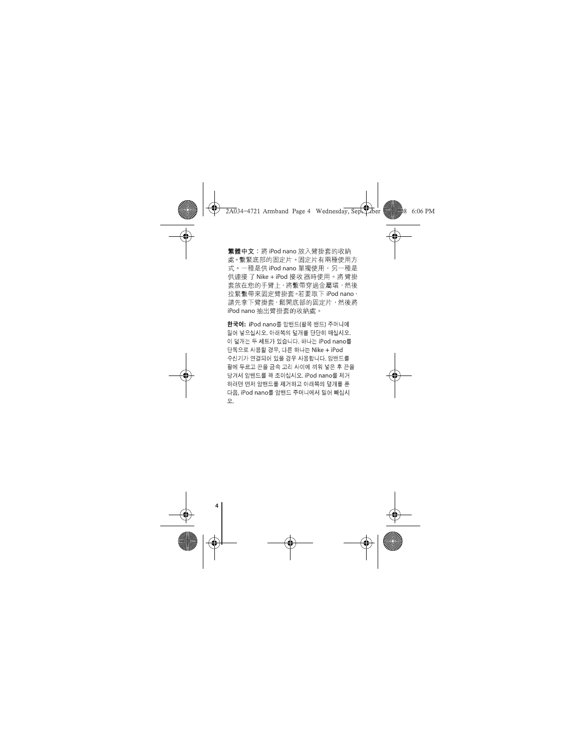繁體中文:將iPod nano 放入臂掛套的收納 處。繫緊底部的固定片。固定片有兩種使用方 式。一種是供 iPod nano 單獨使用,另一種是 供連接了 Nike + iPod 接收 器時使用。將 臂掛 套放在您的手臂上, 將繫帶穿過金屬環, 然後 拉緊繫帶來固定臂掛套。若要取下 iPod nano, 請先拿下臂掛套,鬆開底部的固定片,然後將 iPod nano 抽出臂掛套的收納處。

한국어: iPod nano를 암밴드(팔목 밴드) 주머니에 밀어 넣으십시오. 아래쪽의 덮개를 단단히 매십시오. 이 덮개는 두 세트가 있습니다. 하나는 iPod nano를 단독으로 사용할 경우, 다른 하나는 Nike + iPod 수신기가 연결되어 있을 경우 사용합니다. 암밴드를 팔에 두르고 끈을 금속 고리 사이에 끼워 넣은 후 끈을 당겨서 암밴드를 꽉 조이십시오. iPod nano를 제거 하려면 먼저 암밴드를 제거하고 아래쪽의 덮개를 푼 다음, iPod nano를 암밴드 주머니에서 밀어 빼십시  $\circ$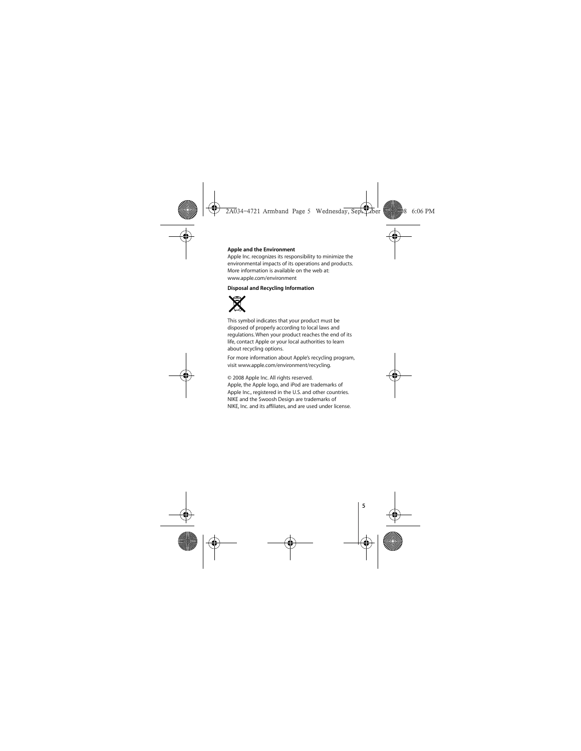## **Apple and the Environment**

Apple Inc. recognizes its responsibility to minimize the environmental impacts of its operations and products. More information is available on the web at: www.apple.com/environment

## **Disposal and Recycling Information**



This symbol indicates that your product must be disposed of properly according to local laws and regulations. When your product reaches the end of its life, contact Apple or your local authorities to learn about recycling options.

For more information about Apple's recycling program, visit www.apple.com/environment/recycling.

© 2008 Apple Inc. All rights reserved. Apple, the Apple logo, and iPod are trademarks of Apple Inc., registered in the U.S. and other countries. NIKE and the Swoosh Design are trademarks of NIKE, Inc. and its affiliates, and are used under license.